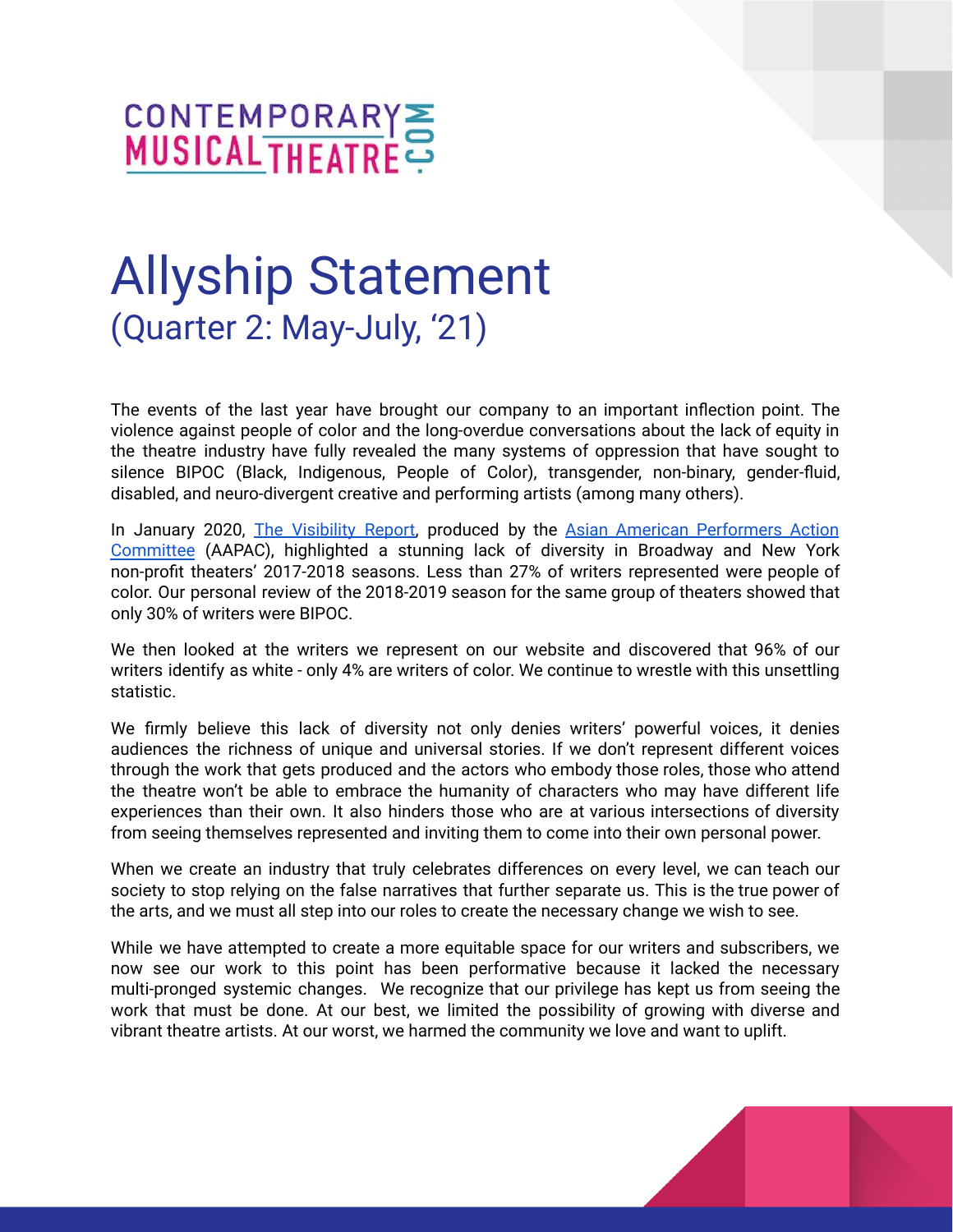

## Allyship Statement (Quarter 2: May-July, '21)

The events of the last year have brought our company to an important inflection point. The violence against people of color and the long-overdue conversations about the lack of equity in the theatre industry have fully revealed the many systems of oppression that have sought to silence BIPOC (Black, Indigenous, People of Color), transgender, non-binary, gender-fluid, disabled, and neuro-divergent creative and performing artists (among many others).

In January 2020, The [Visibility](http://www.aapacnyc.org/uploads/1/1/9/4/11949532/aapac_report_2017-2018_single.pdf) Report, produced by the Asian American [Performers](http://www.aapacnyc.org) Action [Committee](http://www.aapacnyc.org) (AAPAC), highlighted a stunning lack of diversity in Broadway and New York non-profit theaters' 2017-2018 seasons. Less than 27% of writers represented were people of color. Our personal review of the 2018-2019 season for the same group of theaters showed that only 30% of writers were BIPOC.

We then looked at the writers we represent on our website and discovered that 96% of our writers identify as white - only 4% are writers of color. We continue to wrestle with this unsettling statistic.

We firmly believe this lack of diversity not only denies writers' powerful voices, it denies audiences the richness of unique and universal stories. If we don't represent different voices through the work that gets produced and the actors who embody those roles, those who attend the theatre won't be able to embrace the humanity of characters who may have different life experiences than their own. It also hinders those who are at various intersections of diversity from seeing themselves represented and inviting them to come into their own personal power.

When we create an industry that truly celebrates differences on every level, we can teach our society to stop relying on the false narratives that further separate us. This is the true power of the arts, and we must all step into our roles to create the necessary change we wish to see.

While we have attempted to create a more equitable space for our writers and subscribers, we now see our work to this point has been performative because it lacked the necessary multi-pronged systemic changes. We recognize that our privilege has kept us from seeing the work that must be done. At our best, we limited the possibility of growing with diverse and vibrant theatre artists. At our worst, we harmed the community we love and want to uplift.

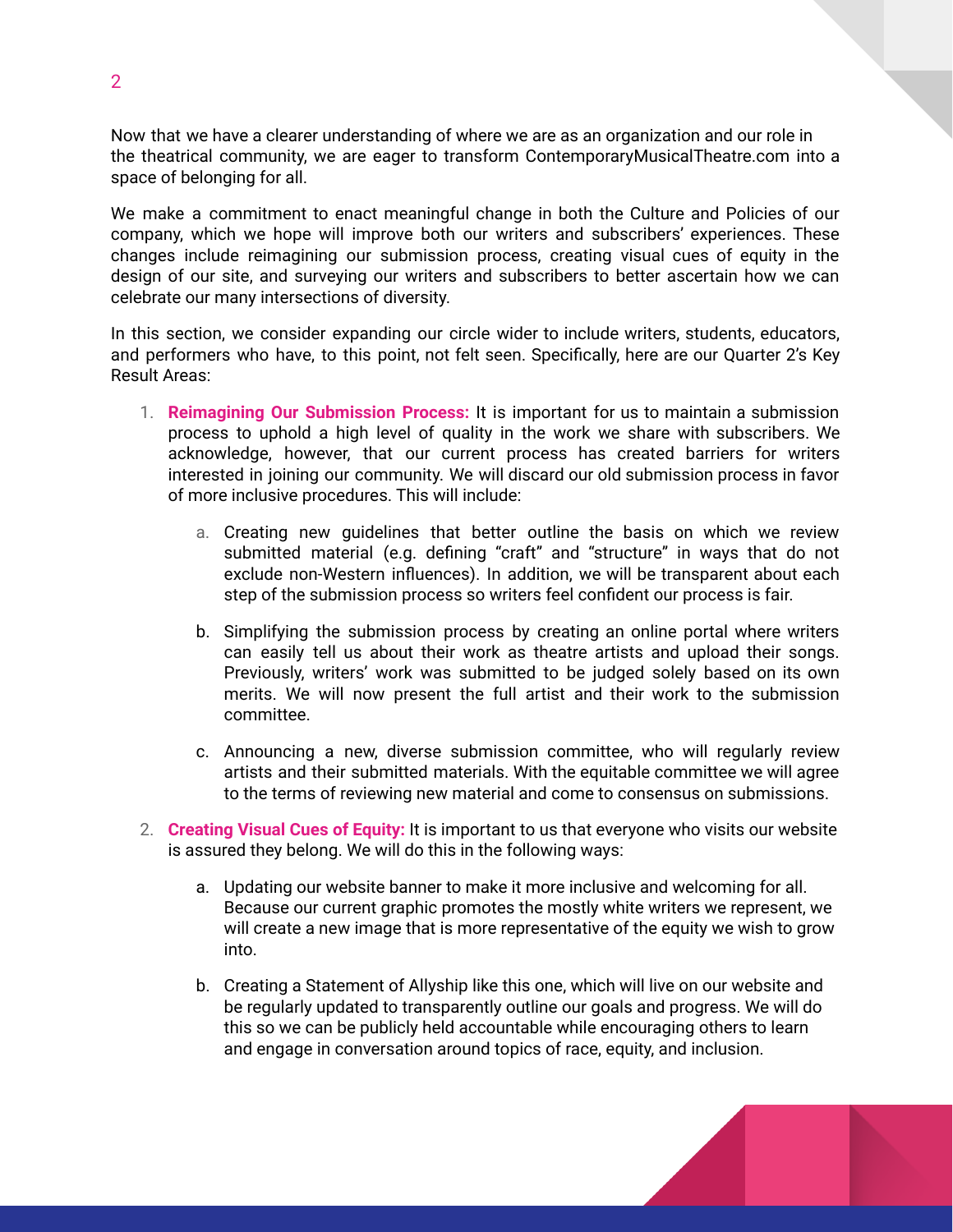Now that we have a clearer understanding of where we are as an organization and our role in the theatrical community, we are eager to transform ContemporaryMusicalTheatre.com into a space of belonging for all.

We make a commitment to enact meaningful change in both the Culture and Policies of our company, which we hope will improve both our writers and subscribers' experiences. These changes include reimagining our submission process, creating visual cues of equity in the design of our site, and surveying our writers and subscribers to better ascertain how we can celebrate our many intersections of diversity.

In this section, we consider expanding our circle wider to include writers, students, educators, and performers who have, to this point, not felt seen. Specifically, here are our Quarter 2's Key Result Areas:

- 1. **Reimagining Our Submission Process:** It is important for us to maintain a submission process to uphold a high level of quality in the work we share with subscribers. We acknowledge, however, that our current process has created barriers for writers interested in joining our community. We will discard our old submission process in favor of more inclusive procedures. This will include:
	- a. Creating new guidelines that better outline the basis on which we review submitted material (e.g. defining "craft" and "structure" in ways that do not exclude non-Western influences). In addition, we will be transparent about each step of the submission process so writers feel confident our process is fair.
	- b. Simplifying the submission process by creating an online portal where writers can easily tell us about their work as theatre artists and upload their songs. Previously, writers' work was submitted to be judged solely based on its own merits. We will now present the full artist and their work to the submission committee.
	- c. Announcing a new, diverse submission committee, who will regularly review artists and their submitted materials. With the equitable committee we will agree to the terms of reviewing new material and come to consensus on submissions.
- 2. **Creating Visual Cues of Equity:** It is important to us that everyone who visits our website is assured they belong. We will do this in the following ways:
	- a. Updating our website banner to make it more inclusive and welcoming for all. Because our current graphic promotes the mostly white writers we represent, we will create a new image that is more representative of the equity we wish to grow into.
	- b. Creating a Statement of Allyship like this one, which will live on our website and be regularly updated to transparently outline our goals and progress. We will do this so we can be publicly held accountable while encouraging others to learn and engage in conversation around topics of race, equity, and inclusion.

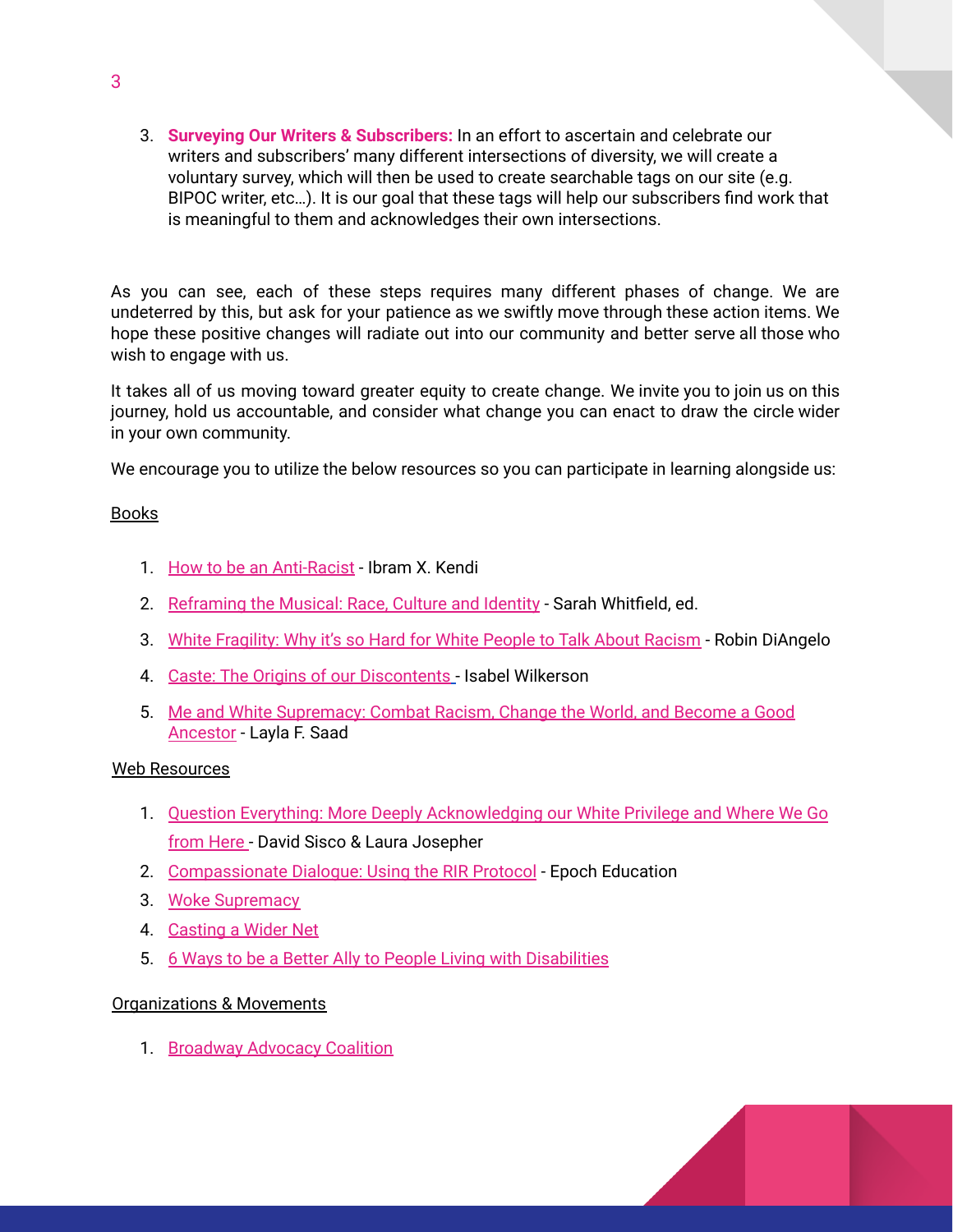3. **Surveying Our Writers & Subscribers:** In an effort to ascertain and celebrate our writers and subscribers' many different intersections of diversity, we will create a voluntary survey, which will then be used to create searchable tags on our site (e.g. BIPOC writer, etc…). It is our goal that these tags will help our subscribers find work that is meaningful to them and acknowledges their own intersections.

As you can see, each of these steps requires many different phases of change. We are undeterred by this, but ask for your patience as we swiftly move through these action items. We hope these positive changes will radiate out into our community and better serve all those who wish to engage with us.

It takes all of us moving toward greater equity to create change. We invite you to join us on this journey, hold us accountable, and consider what change you can enact to draw the circle wider in your own community.

We encourage you to utilize the below resources so you can participate in learning alongside us:

## Books

- 1. How to be an [Anti-Racist](https://www.amazon.com/How-Be-Antiracist-Ibram-Kendi/dp/0525509283) Ibram X. Kendi
- 2. [Reframing](https://www.amazon.com/s?k=reframing+the+musical&crid=BWYGKNIWU4WJ&sprefix=reframing+the+musi%2Cstripbooks%2C143&ref=nb_sb_ss_fb_1_18_ts-doa-p) the Musical: Race, Culture and Identity Sarah Whitfield, ed.
- 3. White [Fragility:](https://www.amazon.com/White-Fragility-People-About-Racism/dp/0807047414/ref=pd_lpo_14_t_0/144-6991702-5345007?_encoding=UTF8&pd_rd_i=0807047414&pd_rd_r=ea2be3ff-3495-47e3-b0fb-22a69efc4984&pd_rd_w=1LpXg&pd_rd_wg=a7Ba8&pf_rd_p=a0d6e967-6561-454c-84f8-2ce2c92b79a6&pf_rd_r=NDT0RX62SB6VRYMYCW7S&psc=1&refRID=NDT0RX62SB6VRYMYCW7S) Why it's so Hard for White People to Talk About Racism Robin DiAngelo
- 4. Caste: The Origins of our [Discontents](https://www.amazon.com/Caste-Origins-Discontents-Isabel-Wilkerson/dp/0593230256) Isabel Wilkerson
- 5. Me and White [Supremacy:](https://www.amazon.com/s?k=me+and+white+supremacy&i=stripbooks&crid=1YC3L0F7UTO1D&sprefix=me+and+white+supre%2Cstripbooks%2C227&ref=nb_sb_ss_ts-doa-p_2_18) Combat Racism, Change the World, and Become a Good [Ancestor](https://www.amazon.com/s?k=me+and+white+supremacy&i=stripbooks&crid=1YC3L0F7UTO1D&sprefix=me+and+white+supre%2Cstripbooks%2C227&ref=nb_sb_ss_ts-doa-p_2_18) - Layla F. Saad

## Web Resources

- 1. Question Everything: More Deeply [Acknowledging](https://contemporarymusicaltheatre.wordpress.com/2021/04/13/question-everything/) our White Privilege and Where We Go [from](https://contemporarymusicaltheatre.wordpress.com/2021/04/13/question-everything/) Here - David Sisco & Laura Josepher
- 2. [Compassionate](https://epochacademy.thinkific.com/courses/compassionate-dialogue-using-the-rir-protocol-1hour) Dialogue: Using the RIR Protocol Epoch Education
- 3. Woke [Supremacy](https://howlround.com/woke-supremacy)
- 4. [Casting](https://howlround.com/casting-wider-net) a Wider Net
- 5. 6 Ways to be a Better Ally to People Living with [Disabilities](https://mashable.com/2015/07/26/disability-ally-inclusive/)

## Organizations & Movements

1. [Broadway](https://www.bwayadvocacycoalition.org) Advocacy Coalition